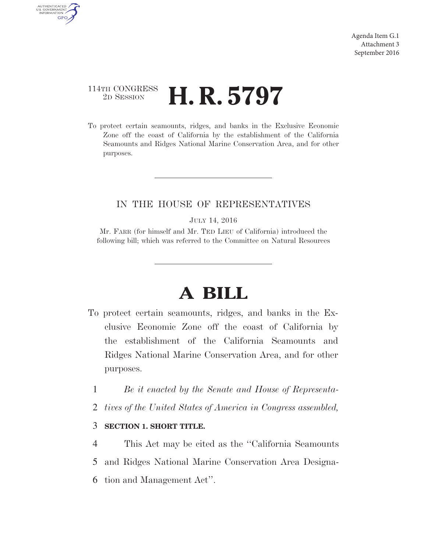## 114TH CONGRESS <sup>2D SESSION</sup> **H. R. 5797**

AUTHENTICATED<br>U.S. GOVERNMENT<br>INFORMATION

**GPO** 

To protect certain seamounts, ridges, and banks in the Exclusive Economic Zone off the coast of California by the establishment of the California Seamounts and Ridges National Marine Conservation Area, and for other purposes.

### IN THE HOUSE OF REPRESENTATIVES

#### JULY 14, 2016

Mr. FARR (for himself and Mr. TED LIEU of California) introduced the following bill; which was referred to the Committee on Natural Resources

# **A BILL**

- To protect certain seamounts, ridges, and banks in the Exclusive Economic Zone off the coast of California by the establishment of the California Seamounts and Ridges National Marine Conservation Area, and for other purposes.
	- 1 *Be it enacted by the Senate and House of Representa-*
	- 2 *tives of the United States of America in Congress assembled,*

#### 3 **SECTION 1. SHORT TITLE.**

4 This Act may be cited as the ''California Seamounts 5 and Ridges National Marine Conservation Area Designa-6 tion and Management Act''.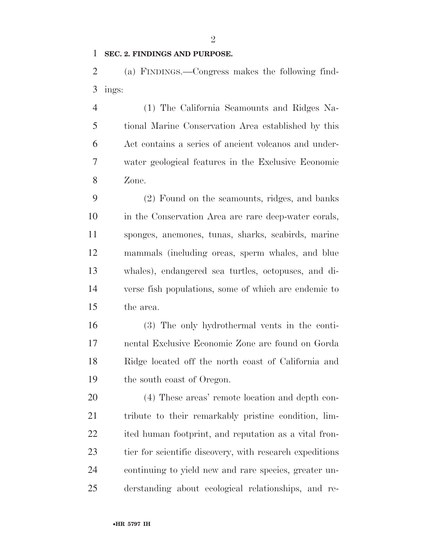#### **SEC. 2. FINDINGS AND PURPOSE.**

 (a) FINDINGS.—Congress makes the following find-ings:

 (1) The California Seamounts and Ridges Na- tional Marine Conservation Area established by this Act contains a series of ancient volcanos and under- water geological features in the Exclusive Economic Zone.

 (2) Found on the seamounts, ridges, and banks in the Conservation Area are rare deep-water corals, sponges, anemones, tunas, sharks, seabirds, marine mammals (including orcas, sperm whales, and blue whales), endangered sea turtles, octopuses, and di- verse fish populations, some of which are endemic to the area.

 (3) The only hydrothermal vents in the conti- nental Exclusive Economic Zone are found on Gorda Ridge located off the north coast of California and the south coast of Oregon.

 (4) These areas' remote location and depth con- tribute to their remarkably pristine condition, lim- ited human footprint, and reputation as a vital fron- tier for scientific discovery, with research expeditions continuing to yield new and rare species, greater un-derstanding about ecological relationships, and re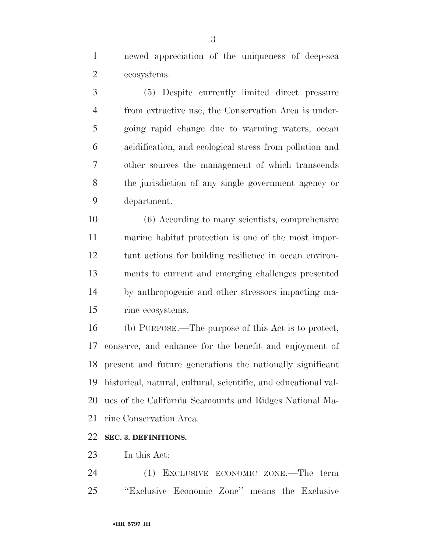newed appreciation of the uniqueness of deep-sea ecosystems.

 (5) Despite currently limited direct pressure from extractive use, the Conservation Area is under- going rapid change due to warming waters, ocean acidification, and ecological stress from pollution and other sources the management of which transcends the jurisdiction of any single government agency or department.

 (6) According to many scientists, comprehensive marine habitat protection is one of the most impor- tant actions for building resilience in ocean environ- ments to current and emerging challenges presented by anthropogenic and other stressors impacting ma-rine ecosystems.

 (b) PURPOSE.—The purpose of this Act is to protect, conserve, and enhance for the benefit and enjoyment of present and future generations the nationally significant historical, natural, cultural, scientific, and educational val- ues of the California Seamounts and Ridges National Ma-rine Conservation Area.

#### **SEC. 3. DEFINITIONS.**

In this Act:

 (1) EXCLUSIVE ECONOMIC ZONE.—The term ''Exclusive Economic Zone'' means the Exclusive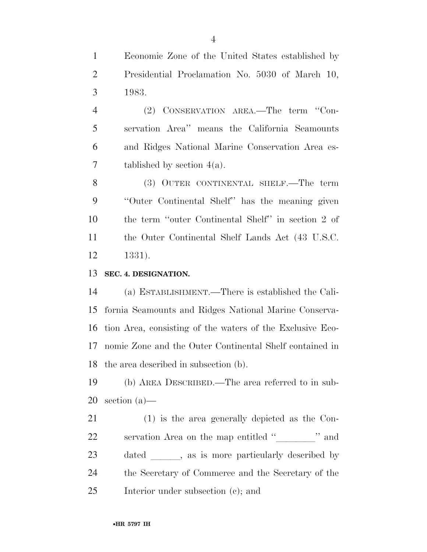Economic Zone of the United States established by Presidential Proclamation No. 5030 of March 10, 1983.

 (2) CONSERVATION AREA.—The term ''Con- servation Area'' means the California Seamounts and Ridges National Marine Conservation Area es-7 tablished by section  $4(a)$ .

 (3) OUTER CONTINENTAL SHELF.—The term ''Outer Continental Shelf'' has the meaning given the term ''outer Continental Shelf'' in section 2 of the Outer Continental Shelf Lands Act (43 U.S.C. 1331).

**SEC. 4. DESIGNATION.** 

 (a) ESTABLISHMENT.—There is established the Cali- fornia Seamounts and Ridges National Marine Conserva- tion Area, consisting of the waters of the Exclusive Eco- nomic Zone and the Outer Continental Shelf contained in the area described in subsection (b).

 (b) AREA DESCRIBED.—The area referred to in sub-section (a)—

 (1) is the area generally depicted as the Con-22 servation Area on the map entitled "" and was and ly described by Secretary of the dated \_\_\_\_\_, as is more particularly described by<br>24 the Secretary of Commerce and the Secretary of the<br>25 Interior under subsection (c); and<br>35 The strain of the subsection (c); and<br>3797 IH the Secretary of Commerce and the Secretary of the Interior under subsection (c); and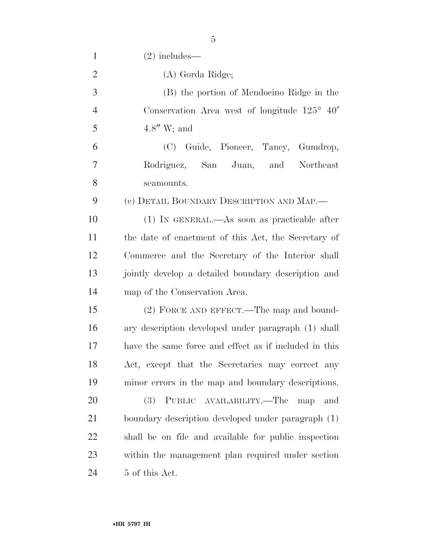| $\mathbf{1}$   | $(2)$ includes—                                       |
|----------------|-------------------------------------------------------|
| $\overline{2}$ | (A) Gorda Ridge;                                      |
| 3              | (B) the portion of Mendocino Ridge in the             |
| $\overline{4}$ | Conservation Area west of longitude $125^{\circ}$ 40' |
| 5              | $4.8''$ W; and                                        |
| 6              | (C) Guide, Pioneer, Taney, Gumdrop,                   |
| $\overline{7}$ | Rodriguez, San Juan, and<br>Northeast                 |
| 8              | seamounts.                                            |
| 9              | (c) DETAIL BOUNDARY DESCRIPTION AND MAP.—             |
| 10             | $(1)$ In GENERAL.—As soon as practicable after        |
| 11             | the date of enactment of this Act, the Secretary of   |
| 12             | Commerce and the Secretary of the Interior shall      |
| 13             | jointly develop a detailed boundary description and   |
| 14             | map of the Conservation Area.                         |
| 15             | (2) FORCE AND EFFECT.—The map and bound-              |
| 16             | ary description developed under paragraph (1) shall   |
| 17             | have the same force and effect as if included in this |
| 18             | Act, except that the Secretaries may correct any      |
| 19             | minor errors in the map and boundary descriptions.    |
| 20             | (3) PUBLIC AVAILABILITY.—The<br>map<br>and            |
| 21             | boundary description developed under paragraph (1)    |
| 22             | shall be on file and available for public inspection  |
| 23             | within the management plan required under section     |
| 24             | 5 of this Act.                                        |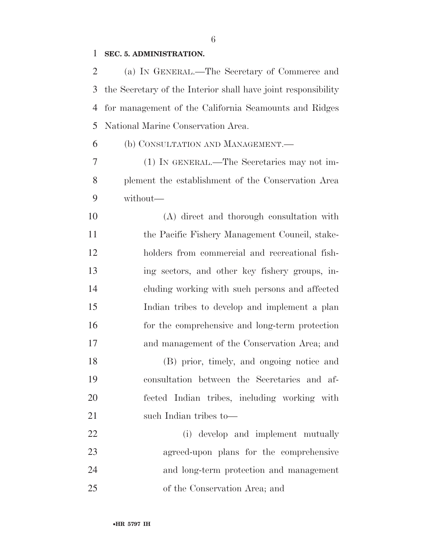#### **SEC. 5. ADMINISTRATION.**

 (a) IN GENERAL.—The Secretary of Commerce and the Secretary of the Interior shall have joint responsibility for management of the California Seamounts and Ridges National Marine Conservation Area.

(b) CONSULTATION AND MANAGEMENT.—

 (1) IN GENERAL.—The Secretaries may not im- plement the establishment of the Conservation Area without—

 (A) direct and thorough consultation with 11 the Pacific Fishery Management Council, stake- holders from commercial and recreational fish- ing sectors, and other key fishery groups, in- cluding working with such persons and affected Indian tribes to develop and implement a plan for the comprehensive and long-term protection and management of the Conservation Area; and

 (B) prior, timely, and ongoing notice and consultation between the Secretaries and af- fected Indian tribes, including working with 21 such Indian tribes to—

 (i) develop and implement mutually agreed-upon plans for the comprehensive and long-term protection and management of the Conservation Area; and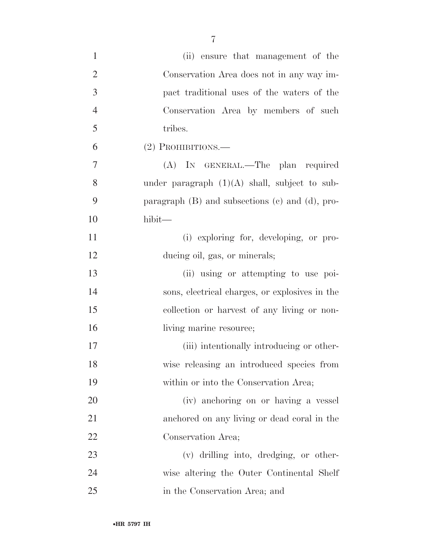| $\mathbf{1}$   | (ii) ensure that management of the                     |
|----------------|--------------------------------------------------------|
| $\overline{2}$ | Conservation Area does not in any way im-              |
| 3              | pact traditional uses of the waters of the             |
| $\overline{4}$ | Conservation Area by members of such                   |
| $\mathfrak{S}$ | tribes.                                                |
| 6              | $(2)$ Prohibitions.—                                   |
| $\tau$         | (A) IN GENERAL.—The plan required                      |
| 8              | under paragraph $(1)(A)$ shall, subject to sub-        |
| 9              | paragraph $(B)$ and subsections $(c)$ and $(d)$ , pro- |
| 10             | hibit—                                                 |
| 11             | (i) exploring for, developing, or pro-                 |
| 12             | ducing oil, gas, or minerals;                          |
| 13             | (ii) using or attempting to use poi-                   |
| 14             | sons, electrical charges, or explosives in the         |
| 15             | collection or harvest of any living or non-            |
| 16             | living marine resource;                                |
| 17             | (iii) intentionally introducing or other-              |
| 18             | wise releasing an introduced species from              |
| 19             | within or into the Conservation Area;                  |
| 20             | (iv) anchoring on or having a vessel                   |
| 21             | anchored on any living or dead coral in the            |
| 22             | Conservation Area;                                     |
| 23             | (v) drilling into, dredging, or other-                 |
| 24             | wise altering the Outer Continental Shelf              |
| 25             | in the Conservation Area; and                          |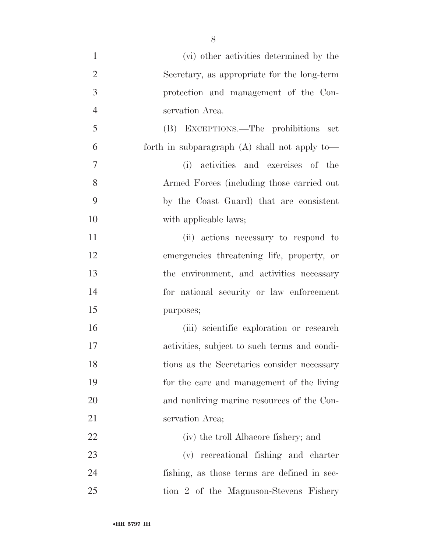(vi) other activities determined by the Secretary, as appropriate for the long-term protection and management of the Con- servation Area. (B) EXCEPTIONS.—The prohibitions set forth in subparagraph (A) shall not apply to— (i) activities and exercises of the Armed Forces (including those carried out by the Coast Guard) that are consistent 10 with applicable laws; (ii) actions necessary to respond to emergencies threatening life, property, or the environment, and activities necessary for national security or law enforcement purposes; (iii) scientific exploration or research activities, subject to such terms and condi- tions as the Secretaries consider necessary for the care and management of the living and nonliving marine resources of the Con- servation Area; (iv) the troll Albacore fishery; and (v) recreational fishing and charter fishing, as those terms are defined in sec-tion 2 of the Magnuson-Stevens Fishery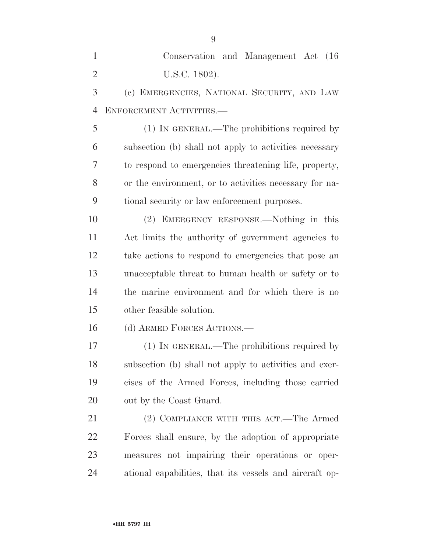| $\mathbf{1}$   | Conservation and Management Act (16)                    |
|----------------|---------------------------------------------------------|
| $\overline{2}$ | U.S.C. 1802).                                           |
| 3              | (c) EMERGENCIES, NATIONAL SECURITY, AND LAW             |
| $\overline{4}$ | ENFORCEMENT ACTIVITIES.                                 |
| 5              | (1) IN GENERAL.—The prohibitions required by            |
| 6              | subsection (b) shall not apply to activities necessary  |
| 7              | to respond to emergencies threatening life, property,   |
| 8              | or the environment, or to activities necessary for na-  |
| 9              | tional security or law enforcement purposes.            |
| 10             | (2) EMERGENCY RESPONSE.—Nothing in this                 |
| 11             | Act limits the authority of government agencies to      |
| 12             | take actions to respond to emergencies that pose an     |
| 13             | unacceptable threat to human health or safety or to     |
| 14             | the marine environment and for which there is no        |
| 15             | other feasible solution.                                |
| 16             | (d) ARMED FORCES ACTIONS.—                              |
| 17             | (1) IN GENERAL.—The prohibitions required by            |
| 18             | subsection (b) shall not apply to activities and exer-  |
| 19             | cises of the Armed Forces, including those carried      |
| 20             | out by the Coast Guard.                                 |
| 21             | (2) COMPLIANCE WITH THIS ACT.—The Armed                 |
| 22             | Forces shall ensure, by the adoption of appropriate     |
| 23             | measures not impairing their operations or oper-        |
| 24             | ational capabilities, that its vessels and aircraft op- |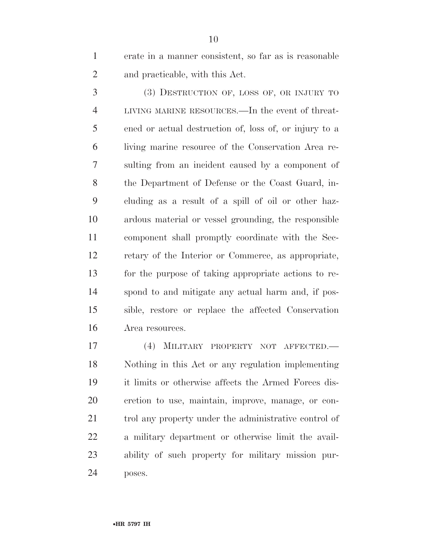erate in a manner consistent, so far as is reasonable and practicable, with this Act.

 (3) DESTRUCTION OF, LOSS OF, OR INJURY TO LIVING MARINE RESOURCES.—In the event of threat- ened or actual destruction of, loss of, or injury to a living marine resource of the Conservation Area re- sulting from an incident caused by a component of the Department of Defense or the Coast Guard, in- cluding as a result of a spill of oil or other haz- ardous material or vessel grounding, the responsible component shall promptly coordinate with the Sec- retary of the Interior or Commerce, as appropriate, for the purpose of taking appropriate actions to re- spond to and mitigate any actual harm and, if pos- sible, restore or replace the affected Conservation Area resources.

 (4) MILITARY PROPERTY NOT AFFECTED.— Nothing in this Act or any regulation implementing it limits or otherwise affects the Armed Forces dis- cretion to use, maintain, improve, manage, or con-21 trol any property under the administrative control of a military department or otherwise limit the avail- ability of such property for military mission pur-poses.